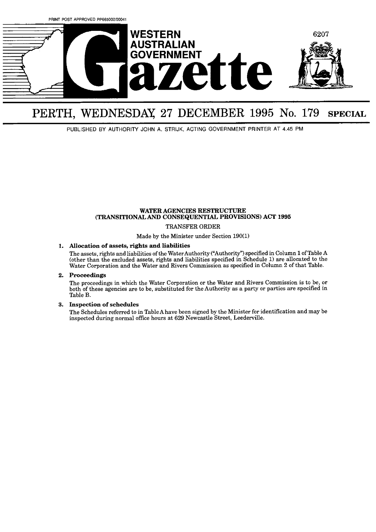

# PERTH, WEDNESDAY **27** DECEMBER **1995** No. 179 **SPECIAL**

PUBLISHED BY AUTHORITY JOHN **A.** STRIJK, ACTING GOVERNMENT PRINTER AT **4.45** PM

#### **WATER AGENCIES RESTRUCTURE (TRANSITIONAL AND CONSEQUENTLAL PROVISIONS) ACT 1995**

TRANSFER ORDER

Made by the Minister under Section **190(1)** 

#### **1. Allocation of assets, rights and liabilities**

The assets, rights and liabilities of the WaterAuthority ("Authority") specified in CoIumn **1** of Table **A**  (other than the excluded assets, rights and liabilities specified in Schedule 1) are allocated to the Water Corporation and the Water and Rivers Commission as specified in Column 2 of that Table.

#### **2. Proceedings**

The proceedings in which the Water Corporation or the Water and Rivers Commission is to be, or both of these agencies are to be, substituted for the Authority as a party or parties are specified in Table B.

### **3. Inspection of schedules**

The Schedules referred to in TableAhave been signed by the Minister for identification and may be inspected during normal office hours at 629 Newcastle Street, Leederville.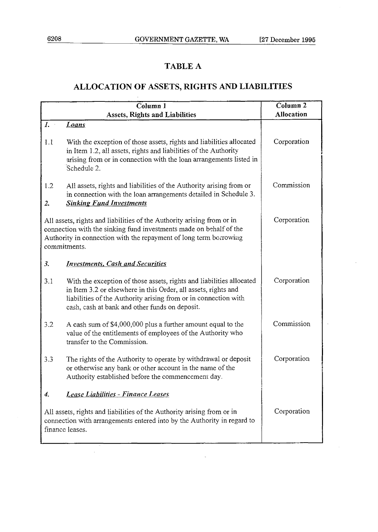$\bar{z}$ 

## **TABLE A**

# **ALLOCATION OF ASSETS, RIGHTS AND LIABILITIES**

|                                                                                                                                                                      | Column <sub>2</sub>                                                                                                                                                                                                                                         |                   |
|----------------------------------------------------------------------------------------------------------------------------------------------------------------------|-------------------------------------------------------------------------------------------------------------------------------------------------------------------------------------------------------------------------------------------------------------|-------------------|
|                                                                                                                                                                      | <b>Assets, Rights and Liabilities</b>                                                                                                                                                                                                                       | <b>Allocation</b> |
| $I_{\cdot}$                                                                                                                                                          | Loans                                                                                                                                                                                                                                                       |                   |
| 1.1                                                                                                                                                                  | With the exception of those assets, rights and liabilities allocated<br>in Item 1.2, all assets, rights and liabilities of the Authority<br>arising from or in connection with the loan arrangements listed in<br>Schedule 2.                               | Corporation       |
| 1.2<br>2.                                                                                                                                                            | All assets, rights and liabilities of the Authority arising from or<br>in connection with the loan arrangements detailed in Schedule 3.<br><b>Sinking Fund Investments</b>                                                                                  | Commission        |
|                                                                                                                                                                      | All assets, rights and liabilities of the Authority arising from or in<br>connection with the sinking fund investments made on behalf of the<br>Authority in connection with the repayment of long term borrowing<br>commitments.                           | Corporation       |
| 3.                                                                                                                                                                   | <b>Investments, Cash and Securities</b>                                                                                                                                                                                                                     |                   |
| 3.1                                                                                                                                                                  | With the exception of those assets, rights and liabilities allocated<br>in Item 3.2 or elsewhere in this Order, all assets, rights and<br>liabilities of the Authority arising from or in connection with<br>cash, cash at bank and other funds on deposit. | Corporation       |
| 3.2                                                                                                                                                                  | A cash sum of \$4,000,000 plus a further amount equal to the<br>value of the entitlements of employees of the Authority who<br>transfer to the Commission.                                                                                                  | Commission        |
| 3.3                                                                                                                                                                  | The rights of the Authority to operate by withdrawal or deposit<br>or otherwise any bank or other account in the name of the<br>Authority established before the commencement day.                                                                          | Corporation       |
| $\boldsymbol{\mathcal{A}}$ .                                                                                                                                         | Lease Liabilities - Finance Leases                                                                                                                                                                                                                          |                   |
| All assets, rights and liabilities of the Authority arising from or in<br>connection with arrangements entered into by the Authority in regard to<br>finance leases. |                                                                                                                                                                                                                                                             | Corporation       |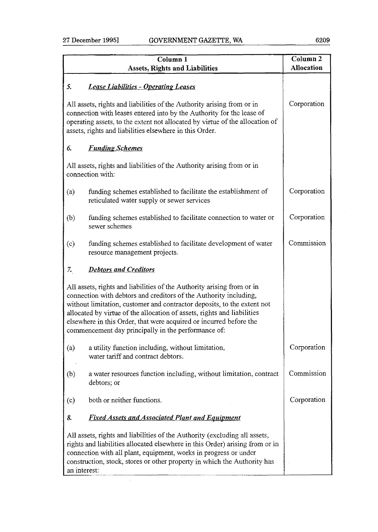|                                                                                                                                                                                                                                                                                            | Column 1                                                                                                                                                                                                                                                                                                                                                                                                                       | $\overline{\text{Column 2}}$ |
|--------------------------------------------------------------------------------------------------------------------------------------------------------------------------------------------------------------------------------------------------------------------------------------------|--------------------------------------------------------------------------------------------------------------------------------------------------------------------------------------------------------------------------------------------------------------------------------------------------------------------------------------------------------------------------------------------------------------------------------|------------------------------|
|                                                                                                                                                                                                                                                                                            | <b>Assets, Rights and Liabilities</b>                                                                                                                                                                                                                                                                                                                                                                                          | <b>Allocation</b>            |
| 5.                                                                                                                                                                                                                                                                                         | <b>Lease Liabilities - Operating Leases</b>                                                                                                                                                                                                                                                                                                                                                                                    |                              |
| All assets, rights and liabilities of the Authority arising from or in<br>connection with leases entered into by the Authority for the lease of<br>operating assets, to the extent not allocated by virtue of the allocation of<br>assets, rights and liabilities elsewhere in this Order. | Corporation                                                                                                                                                                                                                                                                                                                                                                                                                    |                              |
| 6.                                                                                                                                                                                                                                                                                         | <b>Funding Schemes</b>                                                                                                                                                                                                                                                                                                                                                                                                         |                              |
|                                                                                                                                                                                                                                                                                            | All assets, rights and liabilities of the Authority arising from or in<br>connection with:                                                                                                                                                                                                                                                                                                                                     |                              |
| (a)                                                                                                                                                                                                                                                                                        | funding schemes established to facilitate the establishment of<br>reticulated water supply or sewer services                                                                                                                                                                                                                                                                                                                   | Corporation                  |
| (b)                                                                                                                                                                                                                                                                                        | funding schemes established to facilitate connection to water or<br>sewer schemes                                                                                                                                                                                                                                                                                                                                              | Corporation                  |
| (c)                                                                                                                                                                                                                                                                                        | funding schemes established to facilitate development of water<br>resource management projects.                                                                                                                                                                                                                                                                                                                                | Commission                   |
| 7.                                                                                                                                                                                                                                                                                         | <b>Debtors and Creditors</b>                                                                                                                                                                                                                                                                                                                                                                                                   |                              |
|                                                                                                                                                                                                                                                                                            | All assets, rights and liabilities of the Authority arising from or in<br>connection with debtors and creditors of the Authority including,<br>without limitation, customer and contractor deposits, to the extent not<br>allocated by virtue of the allocation of assets, rights and liabilities<br>elsewhere in this Order, that were acquired or incurred before the<br>commencement day principally in the performance of: |                              |
| (a)                                                                                                                                                                                                                                                                                        | a utility function including, without limitation,<br>water tariff and contract debtors.                                                                                                                                                                                                                                                                                                                                        | Corporation                  |
| (b)                                                                                                                                                                                                                                                                                        | a water resources function including, without limitation, contract<br>debtors; or                                                                                                                                                                                                                                                                                                                                              | Commission                   |
| (c)                                                                                                                                                                                                                                                                                        | both or neither functions.                                                                                                                                                                                                                                                                                                                                                                                                     | Corporation                  |
| 8.                                                                                                                                                                                                                                                                                         | <u>Fixed Assets and Associated Plant and Equipment</u>                                                                                                                                                                                                                                                                                                                                                                         |                              |
| an interest:                                                                                                                                                                                                                                                                               | All assets, rights and liabilities of the Authority (excluding all assets,<br>rights and liabilities allocated elsewhere in this Order) arising from or in<br>connection with all plant, equipment, works in progress or under<br>construction, stock, stores or other property in which the Authority has                                                                                                                     |                              |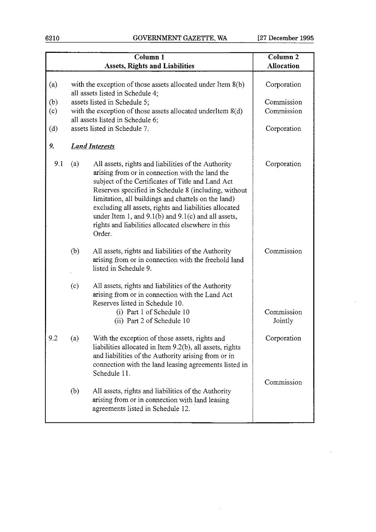6210 GOVERNMENT **GAZETTE, WA** [27 **December 1995** 

 $\sim$ 

| Column <sub>1</sub> |     |                                                                                                                                                                                                                                                                                                                                                                                                                                                                 | Column <sub>2</sub>   |
|---------------------|-----|-----------------------------------------------------------------------------------------------------------------------------------------------------------------------------------------------------------------------------------------------------------------------------------------------------------------------------------------------------------------------------------------------------------------------------------------------------------------|-----------------------|
|                     |     | <b>Assets, Rights and Liabilities</b>                                                                                                                                                                                                                                                                                                                                                                                                                           | <b>Allocation</b>     |
| (a)                 |     | with the exception of those assets allocated under Item 8(b)<br>all assets listed in Schedule 4;                                                                                                                                                                                                                                                                                                                                                                | Corporation           |
| (b)                 |     | assets listed in Schedule 5;                                                                                                                                                                                                                                                                                                                                                                                                                                    | Commission            |
| (c)                 |     | with the exception of those assets allocated underItem $8(d)$<br>all assets listed in Schedule 6;                                                                                                                                                                                                                                                                                                                                                               | Commission            |
| (d)                 |     | assets listed in Schedule 7.                                                                                                                                                                                                                                                                                                                                                                                                                                    | Corporation           |
| 9.                  |     | <b>Land Interests</b>                                                                                                                                                                                                                                                                                                                                                                                                                                           |                       |
| 9.1                 | (a) | All assets, rights and liabilities of the Authority<br>arising from or in connection with the land the<br>subject of the Certificates of Title and Land Act<br>Reserves specified in Schedule 8 (including, without<br>limitation, all buildings and chattels on the land)<br>excluding all assets, rights and liabilities allocated<br>under Item 1, and $9.1(b)$ and $9.1(c)$ and all assets,<br>rights and liabilities allocated elsewhere in this<br>Order. | Corporation           |
|                     | (b) | All assets, rights and liabilities of the Authority<br>arising from or in connection with the freehold land<br>listed in Schedule 9.                                                                                                                                                                                                                                                                                                                            | Commission            |
|                     | (c) | All assets, rights and liabilities of the Authority<br>arising from or in connection with the Land Act<br>Reserves listed in Schedule 10.<br>(i) Part 1 of Schedule 10<br>(ii) Part 2 of Schedule 10                                                                                                                                                                                                                                                            | Commission<br>Jointly |
| 9.2                 | (a) | With the exception of those assets, rights and<br>liabilities allocated in Item 9.2(b), all assets, rights<br>and liabilities of the Authority arising from or in<br>connection with the land leasing agreements listed in<br>Schedule 11.                                                                                                                                                                                                                      | Corporation           |
|                     | (b) | All assets, rights and liabilities of the Authority<br>arising from or in connection with land leasing<br>agreements listed in Schedule 12.                                                                                                                                                                                                                                                                                                                     | Commission            |

 $\sim$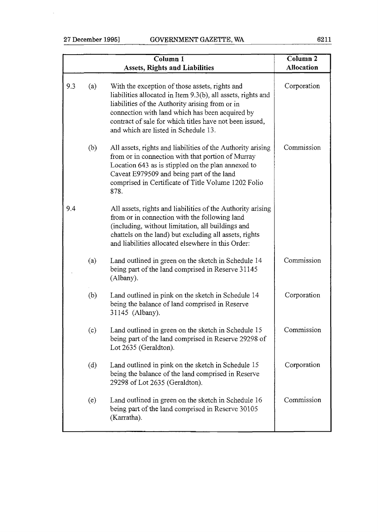l,

| Column <sub>1</sub><br><b>Assets, Rights and Liabilities</b>                                                                                                                                                                                                                                                            | Column <sub>2</sub><br><b>Allocation</b> |
|-------------------------------------------------------------------------------------------------------------------------------------------------------------------------------------------------------------------------------------------------------------------------------------------------------------------------|------------------------------------------|
| With the exception of those assets, rights and<br>liabilities allocated in Item 9.3(b), all assets, rights and<br>liabilities of the Authority arising from or in<br>connection with land which has been acquired by<br>contract of sale for which titles have not been issued,<br>and which are listed in Schedule 13. | Corporation                              |
| All assets, rights and liabilities of the Authority arising<br>from or in connection with that portion of Murray<br>Location 643 as is stippled on the plan annexed to<br>Caveat E979509 and being part of the land<br>comprised in Certificate of Title Volume 1202 Folio<br>878.                                      | Commission                               |
| All assets, rights and liabilities of the Authority arising<br>from or in connection with the following land<br>(including, without limitation, all buildings and<br>chattels on the land) but excluding all assets, rights<br>and liabilities allocated elsewhere in this Order:                                       |                                          |
| Land outlined in green on the sketch in Schedule 14<br>being part of the land comprised in Reserve 31145<br>(Albany).                                                                                                                                                                                                   | Commission                               |
| Land outlined in pink on the sketch in Schedule 14<br>being the balance of land comprised in Reserve<br>31145 (Albany).                                                                                                                                                                                                 | Corporation                              |
| Land outlined in green on the sketch in Schedule 15<br>being part of the land comprised in Reserve 29298 of<br>Lot 2635 (Geraldton).                                                                                                                                                                                    | Commission                               |
| Land outlined in pink on the sketch in Schedule 15<br>being the balance of the land comprised in Reserve<br>29298 of Lot 2635 (Geraldton).                                                                                                                                                                              | Corporation                              |
| Land outlined in green on the sketch in Schedule 16<br>being part of the land comprised in Reserve 30105<br>(Karratha).                                                                                                                                                                                                 | Commission                               |
|                                                                                                                                                                                                                                                                                                                         |                                          |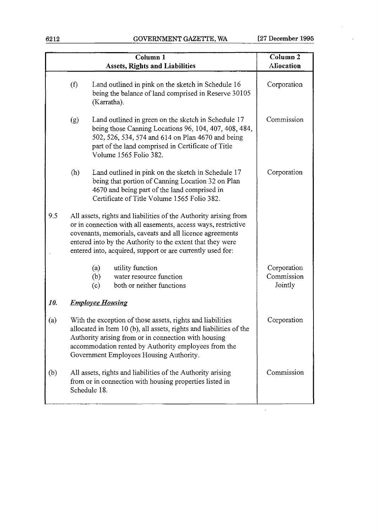**62 12** GOVEFWMENT GAZETTE, **WA (27 December 1995** 

|     |     | Column 1<br><b>Assets, Rights and Liabilities</b>                                                                                                                                                                                                                                                                         | Column <sub>2</sub><br>Aliocation    |
|-----|-----|---------------------------------------------------------------------------------------------------------------------------------------------------------------------------------------------------------------------------------------------------------------------------------------------------------------------------|--------------------------------------|
|     | (f) | Land outlined in pink on the sketch in Schedule 16<br>being the balance of land comprised in Reserve 30105<br>(Karratha).                                                                                                                                                                                                 | Corporation                          |
|     | (g) | Land outlined in green on the sketch in Schedule 17<br>being those Canning Locations 96, 104, 407, 408, 484,<br>502, 526, 534, 574 and 614 on Plan 4670 and being<br>part of the land comprised in Certificate of Title<br>Volume 1565 Folio 382.                                                                         | Commission                           |
|     | (h) | Land outlined in pink on the sketch in Schedule 17<br>being that portion of Canning Location 32 on Plan<br>4670 and being part of the land comprised in<br>Certificate of Title Volume 1565 Folio 382.                                                                                                                    | Corporation                          |
| 9.5 |     | All assets, rights and liabilities of the Authority arising from<br>or in connection with all easements, access ways, restrictive<br>covenants, memorials, caveats and all licence agreements<br>entered into by the Authority to the extent that they were<br>entered into, acquired, support or are currently used for: |                                      |
|     |     | (a)<br>utility function<br>water resource function<br>(b)<br>both or neither functions<br>(c)                                                                                                                                                                                                                             | Corporation<br>Commission<br>Jointly |
| 10. |     | <b>Employee Housing</b>                                                                                                                                                                                                                                                                                                   |                                      |
| (a) |     | With the exception of those assets, rights and liabilities<br>allocated in Item 10 (b), all assets, rights and liabilities of the<br>Authority arising from or in connection with housing<br>accommodation rented by Authority employees from the<br>Government Employees Housing Authority.                              | Corporation                          |
| (b) |     | All assets, rights and liabilities of the Authority arising<br>from or in connection with housing properties listed in<br>Schedule 18.                                                                                                                                                                                    | Commission                           |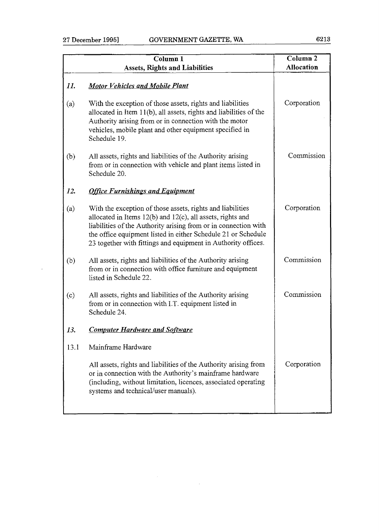$\bar{z}$ 

|      | Column <sub>1</sub><br><b>Assets, Rights and Liabilities</b>                                                                                                                                                                                                                                                                       | Column <sub>2</sub><br>Allocation |
|------|------------------------------------------------------------------------------------------------------------------------------------------------------------------------------------------------------------------------------------------------------------------------------------------------------------------------------------|-----------------------------------|
| 11.  | <b>Motor Vehicles and Mobile Plant</b>                                                                                                                                                                                                                                                                                             |                                   |
| (a)  | With the exception of those assets, rights and liabilities<br>allocated in Item 11(b), all assets, rights and liabilities of the<br>Authority arising from or in connection with the motor<br>vehicles, mobile plant and other equipment specified in<br>Schedule 19.                                                              | Corporation                       |
| (b)  | All assets, rights and liabilities of the Authority arising<br>from or in connection with vehicle and plant items listed in<br>Schedule 20.                                                                                                                                                                                        | Commission                        |
| 12.  | <b>Office Furnishings and Equipment</b>                                                                                                                                                                                                                                                                                            |                                   |
| (a)  | With the exception of those assets, rights and liabilities<br>allocated in Items $12(b)$ and $12(c)$ , all assets, rights and<br>liabilities of the Authority arising from or in connection with<br>the office equipment listed in either Schedule 21 or Schedule<br>23 together with fittings and equipment in Authority offices. | Corporation                       |
| (b)  | All assets, rights and liabilities of the Authority arising<br>from or in connection with office furniture and equipment<br>listed in Schedule 22.                                                                                                                                                                                 | Commission                        |
| (c)  | All assets, rights and liabilities of the Authority arising<br>from or in connection with I.T. equipment listed in<br>Schedule 24.                                                                                                                                                                                                 | Commission                        |
| 13.  | <b>Computer Hardware and Software</b>                                                                                                                                                                                                                                                                                              |                                   |
| 13.1 | Mainframe Hardware                                                                                                                                                                                                                                                                                                                 |                                   |
|      | All assets, rights and liabilities of the Authority arising from<br>or in connection with the Authority's mainframe hardware<br>(including, without limitation, licences, associated operating<br>systems and technical/user manuals).                                                                                             | Corporation                       |
|      |                                                                                                                                                                                                                                                                                                                                    |                                   |

 $\label{eq:2.1} \begin{split} \mathcal{L}_{\text{max}}(\mathbf{r}) & = \mathcal{L}_{\text{max}}(\mathbf{r}) \mathcal{L}_{\text{max}}(\mathbf{r}) \,, \end{split}$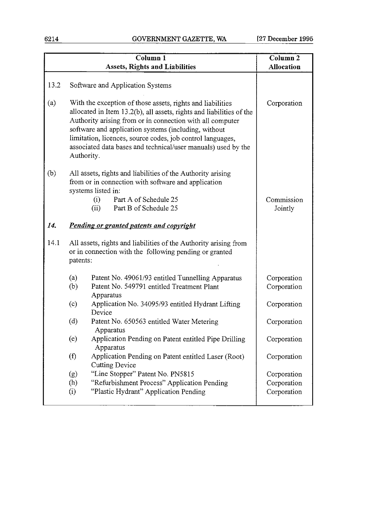|      | Column <sub>1</sub>                                                                                                                                                                                                                                                                                                                                                                                  | Column <sub>2</sub>        |
|------|------------------------------------------------------------------------------------------------------------------------------------------------------------------------------------------------------------------------------------------------------------------------------------------------------------------------------------------------------------------------------------------------------|----------------------------|
|      | <b>Assets, Rights and Liabilities</b>                                                                                                                                                                                                                                                                                                                                                                | <b>Allocation</b>          |
| 13.2 | Software and Application Systems                                                                                                                                                                                                                                                                                                                                                                     |                            |
| (a)  | With the exception of those assets, rights and liabilities<br>allocated in Item 13.2(b), all assets, rights and liabilities of the<br>Authority arising from or in connection with all computer<br>software and application systems (including, without<br>limitation, licences, source codes, job control languages,<br>associated data bases and technical/user manuals) used by the<br>Authority. | Corporation                |
| (b)  | All assets, rights and liabilities of the Authority arising<br>from or in connection with software and application<br>systems listed in:                                                                                                                                                                                                                                                             |                            |
|      | Part A of Schedule 25<br>(i)<br>Part B of Schedule 25<br>(ii)                                                                                                                                                                                                                                                                                                                                        | Commission<br>Jointly      |
| 14.  | Pending or granted patents and copyright                                                                                                                                                                                                                                                                                                                                                             |                            |
| 14.1 | All assets, rights and liabilities of the Authority arising from<br>or in connection with the following pending or granted<br>patents:                                                                                                                                                                                                                                                               |                            |
|      | (a)<br>Patent No. 49061/93 entitled Tunnelling Apparatus<br>(b)<br>Patent No. 549791 entitled Treatment Plant<br>Apparatus                                                                                                                                                                                                                                                                           | Corporation<br>Corporation |
|      | (c)<br>Application No. 34095/93 entitled Hydrant Lifting<br>Device                                                                                                                                                                                                                                                                                                                                   | Corporation                |
|      | (d)<br>Patent No. 650563 entitled Water Metering<br>Apparatus                                                                                                                                                                                                                                                                                                                                        | Corporation                |
|      | (e)<br>Application Pending on Patent entitled Pipe Drilling<br>Apparatus                                                                                                                                                                                                                                                                                                                             | Corporation                |
|      | (f)<br>Application Pending on Patent entitled Laser (Root)<br><b>Cutting Device</b>                                                                                                                                                                                                                                                                                                                  | Corporation                |
|      | "Line Stopper" Patent No. PN5815<br>(g)                                                                                                                                                                                                                                                                                                                                                              | Corporation                |
|      | (h)<br>"Refurbishment Process" Application Pending                                                                                                                                                                                                                                                                                                                                                   | Corporation                |
|      | (i)<br>"Plastic Hydrant" Application Pending                                                                                                                                                                                                                                                                                                                                                         | Corporation                |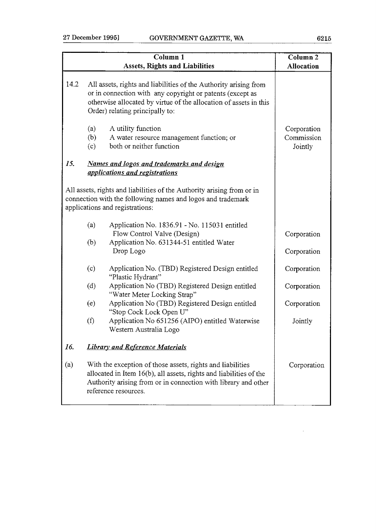|      | $\overline{\text{Column 1}}$<br><b>Assets, Rights and Liabilities</b>                                                                                                                                                                 | Column <sub>2</sub><br><b>Allocation</b> |
|------|---------------------------------------------------------------------------------------------------------------------------------------------------------------------------------------------------------------------------------------|------------------------------------------|
| 14.2 | All assets, rights and liabilities of the Authority arising from<br>or in connection with any copyright or patents (except as<br>otherwise allocated by virtue of the allocation of assets in this<br>Order) relating principally to: |                                          |
|      | (a)<br>A utility function<br>(b)<br>A water resource management function; or<br>both or neither function<br>(c)                                                                                                                       | Corporation<br>Commission<br>Jointly     |
| 15.  | Names and logos and trademarks and design<br>applications and registrations                                                                                                                                                           |                                          |
|      | All assets, rights and liabilities of the Authority arising from or in<br>connection with the following names and logos and trademark<br>applications and registrations:                                                              |                                          |
|      | (a)<br>Application No. 1836.91 - No. 115031 entitled<br>Flow Control Valve (Design)                                                                                                                                                   | Corporation                              |
|      | (b)<br>Application No. 631344-51 entitled Water<br>Drop Logo                                                                                                                                                                          | Corporation                              |
|      | (c)<br>Application No. (TBD) Registered Design entitled<br>"Plastic Hydrant"                                                                                                                                                          | Corporation                              |
|      | Application No (TBD) Registered Design entitled<br>(d)<br>"Water Meter Locking Strap"                                                                                                                                                 | Corporation                              |
|      | Application No (TBD) Registered Design entitled<br>(e)<br>"Stop Cock Lock Open U"                                                                                                                                                     | Corporation                              |
|      | (f)<br>Application No 651256 (AIPO) entitled Waterwise<br>Western Australia Logo                                                                                                                                                      | Jointly                                  |
| 16.  | <b>Library and Reference Materials</b>                                                                                                                                                                                                |                                          |
| (a)  | With the exception of those assets, rights and liabilities<br>allocated in Item 16(b), all assets, rights and liabilities of the<br>Authority arising from or in connection with library and other<br>reference resources.            | Corporation                              |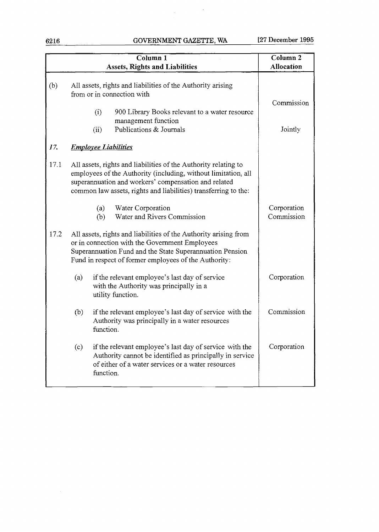6216 GOVERNMENT GAZETTE, WA [27 December **1995** 

 $\label{eq:2.1} \frac{1}{2}\int_{\mathbb{R}^3}\left|\frac{d\mu}{d\mu}\right|^2\,d\mu\leq \frac{1}{2}\int_{\mathbb{R}^3}\frac{d\mu}{d\mu}$ 

|      |                             | $\overline{\mathrm{Column}}$ 1<br><b>Assets, Rights and Liabilities</b>                                                                                                                                                                                      | Column <sub>2</sub><br><b>Allocation</b> |
|------|-----------------------------|--------------------------------------------------------------------------------------------------------------------------------------------------------------------------------------------------------------------------------------------------------------|------------------------------------------|
| (b)  | (i)<br>(ii)                 | All assets, rights and liabilities of the Authority arising<br>from or in connection with<br>900 Library Books relevant to a water resource<br>management function<br>Publications & Journals                                                                | Commission<br>Jointly                    |
| 17.  | <b>Employee Liabilities</b> |                                                                                                                                                                                                                                                              |                                          |
| 17.1 |                             | All assets, rights and liabilities of the Authority relating to<br>employees of the Authority (including, without limitation, all<br>superannuation and workers' compensation and related<br>common law assets, rights and liabilities) transferring to the: |                                          |
|      | (a)<br>(b)                  | Water Corporation<br>Water and Rivers Commission                                                                                                                                                                                                             | Corporation<br>Commission                |
| 17.2 |                             | All assets, rights and liabilities of the Authority arising from<br>or in connection with the Government Employees<br>Superannuation Fund and the State Superannuation Pension<br>Fund in respect of former employees of the Authority:                      |                                          |
|      | (a)                         | if the relevant employee's last day of service<br>with the Authority was principally in a<br>utility function.                                                                                                                                               | Corporation                              |
|      | (b)<br>function.            | if the relevant employee's last day of service with the<br>Authority was principally in a water resources                                                                                                                                                    | Commission                               |
|      | (c)<br>function.            | if the relevant employee's last day of service with the<br>Authority cannot be identified as principally in service<br>of either of a water services or a water resources                                                                                    | Corporation                              |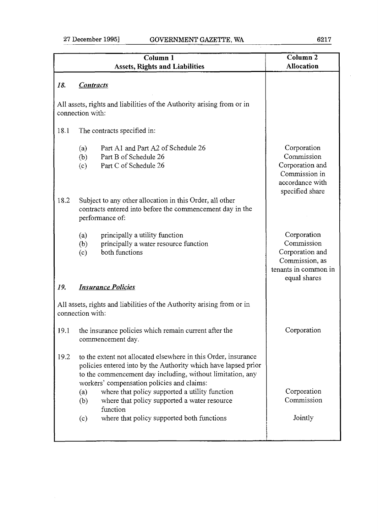|      | Column 1<br><b>Assets, Rights and Liabilities</b>                                                                                                                                                                                            | Column <sub>2</sub><br>Allocation                                                                      |
|------|----------------------------------------------------------------------------------------------------------------------------------------------------------------------------------------------------------------------------------------------|--------------------------------------------------------------------------------------------------------|
| 18.  | <b>Contracts</b>                                                                                                                                                                                                                             |                                                                                                        |
|      | All assets, rights and liabilities of the Authority arising from or in<br>connection with:                                                                                                                                                   |                                                                                                        |
| 18.1 | The contracts specified in:                                                                                                                                                                                                                  |                                                                                                        |
|      | Part A1 and Part A2 of Schedule 26<br>(a)<br>Part B of Schedule 26<br>(b)<br>Part C of Schedule 26<br>(c)                                                                                                                                    | Corporation<br>Commission<br>Corporation and<br>Commission in<br>accordance with<br>specified share    |
| 18.2 | Subject to any other allocation in this Order, all other<br>contracts entered into before the commencement day in the<br>performance of:                                                                                                     |                                                                                                        |
|      | principally a utility function<br>(a)<br>principally a water resource function<br>(b)<br>both functions<br>(c)                                                                                                                               | Corporation<br>Commission<br>Corporation and<br>Commission, as<br>tenants in common in<br>equal shares |
| 19.  | <b>Insurance Policies</b>                                                                                                                                                                                                                    |                                                                                                        |
|      | All assets, rights and liabilities of the Authority arising from or in<br>connection with:                                                                                                                                                   |                                                                                                        |
| 19.1 | the insurance policies which remain current after the<br>commencement day.                                                                                                                                                                   | Corporation                                                                                            |
| 19.2 | to the extent not allocated elsewhere in this Order, insurance<br>policies entered into by the Authority which have lapsed prior<br>to the commencement day including, without limitation, any<br>workers' compensation policies and claims: |                                                                                                        |
|      | where that policy supported a utility function<br>(a)<br>where that policy supported a water resource<br>(b)<br>function                                                                                                                     | Corporation<br>Commission                                                                              |
|      | where that policy supported both functions<br>(c)                                                                                                                                                                                            | Jointly                                                                                                |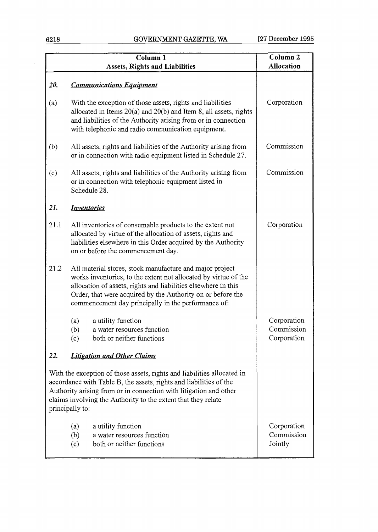|      | Column <sub>1</sub>                                                                                                                                                                                                                                                                                                 | Column <sub>2</sub>                      |
|------|---------------------------------------------------------------------------------------------------------------------------------------------------------------------------------------------------------------------------------------------------------------------------------------------------------------------|------------------------------------------|
|      | <b>Assets, Rights and Liabilities</b>                                                                                                                                                                                                                                                                               | <b>Allocation</b>                        |
|      |                                                                                                                                                                                                                                                                                                                     |                                          |
| 20.  | <b>Communications Equipment</b>                                                                                                                                                                                                                                                                                     |                                          |
| (a)  | With the exception of those assets, rights and liabilities<br>allocated in Items $20(a)$ and $20(b)$ and Item 8, all assets, rights<br>and liabilities of the Authority arising from or in connection<br>with telephonic and radio communication equipment.                                                         | Corporation                              |
| (b)  | All assets, rights and liabilities of the Authority arising from<br>or in connection with radio equipment listed in Schedule 27.                                                                                                                                                                                    | Commission                               |
| (c)  | All assets, rights and liabilities of the Authority arising from<br>or in connection with telephonic equipment listed in<br>Schedule 28.                                                                                                                                                                            | Commission                               |
| 21.  | <b>Inventories</b>                                                                                                                                                                                                                                                                                                  |                                          |
| 21.1 | All inventories of consumable products to the extent not<br>allocated by virtue of the allocation of assets, rights and<br>liabilities elsewhere in this Order acquired by the Authority<br>on or before the commencement day.                                                                                      | Corporation                              |
| 21.2 | All material stores, stock manufacture and major project<br>works inventories, to the extent not allocated by virtue of the<br>allocation of assets, rights and liabilities elsewhere in this<br>Order, that were acquired by the Authority on or before the<br>commencement day principally in the performance of: |                                          |
|      | a utility function<br>(a)<br>(b)<br>a water resources function<br>both or neither functions<br>(c)                                                                                                                                                                                                                  | Corporation<br>Commission<br>Corporation |
| 22.  | <b>Litigation and Other Claims</b>                                                                                                                                                                                                                                                                                  |                                          |
|      | With the exception of those assets, rights and liabilities allocated in<br>accordance with Table B, the assets, rights and liabilities of the<br>Authority arising from or in connection with litigation and other<br>claims involving the Authority to the extent that they relate<br>principally to:              |                                          |
|      | a utility function<br>(a)<br>a water resources function<br>(b)<br>both or neither functions<br>(c)                                                                                                                                                                                                                  | Corporation<br>Commission<br>Jointly     |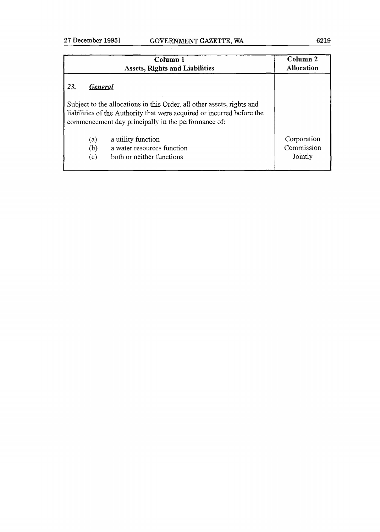|                       | Column 1<br><b>Assets, Rights and Liabilities</b>                                                                                                                                                       | Column <sub>2</sub><br>Allocation    |
|-----------------------|---------------------------------------------------------------------------------------------------------------------------------------------------------------------------------------------------------|--------------------------------------|
| 23.<br><b>General</b> |                                                                                                                                                                                                         |                                      |
|                       | Subject to the allocations in this Order, all other assets, rights and<br>liabilities of the Authority that were acquired or incurred before the<br>commencement day principally in the performance of: |                                      |
| (a)<br>(b)<br>(c)     | a utility function<br>a water resources function<br>both or neither functions                                                                                                                           | Corporation<br>Commission<br>Jointly |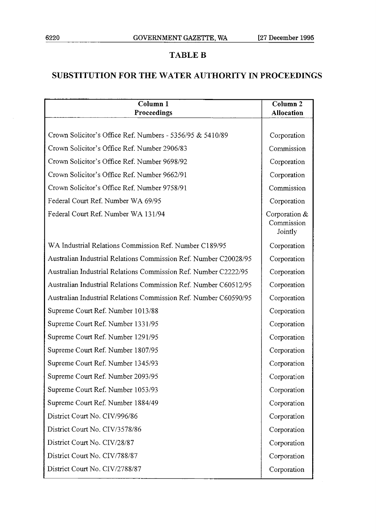### **TABLE B**

### **SUBSTITUTION FOR THE WATER AUTHORITY IN PROCEEDINGS**

| Column 1<br>Proceedings                                          | Column <sub>2</sub><br><b>Allocation</b> |
|------------------------------------------------------------------|------------------------------------------|
|                                                                  |                                          |
| Crown Solicitor's Office Ref. Numbers - 5356/95 & 5410/89        | Corporation                              |
| Crown Solicitor's Office Ref. Number 2906/83                     | Commission                               |
| Crown Solicitor's Office Ref. Number 9698/92                     | Corporation                              |
| Crown Solicitor's Office Ref. Number 9662/91                     | Corporation                              |
| Crown Solicitor's Office Ref. Number 9758/91                     | Commission                               |
| Federal Court Ref. Number WA 69/95                               | Corporation                              |
| Federal Court Ref. Number WA 131/94                              | Corporation &<br>Commission<br>Jointly   |
| WA Industrial Relations Commission Ref. Number C189/95           | Corporation                              |
| Australian Industrial Relations Commission Ref. Number C20028/95 | Corporation                              |
| Australian Industrial Relations Commission Ref. Number C2222/95  | Corporation                              |
| Australian Industrial Relations Commission Ref. Number C60512/95 | Corporation                              |
| Australian Industrial Relations Commission Ref. Number C60590/95 | Corporation                              |
| Supreme Court Ref. Number 1013/88                                | Corporation                              |
| Supreme Court Ref. Number 1331/95                                | Corporation                              |
| Supreme Court Ref. Number 1291/95                                | Corporation                              |
| Supreme Court Ref. Number 1807/95                                | Corporation                              |
| Supreme Court Ref. Number 1345/93                                | Corporation                              |
| Supreme Court Ref. Number 2093/95                                | Corporation                              |
| Supreme Court Ref. Number 1053/93                                | Corporation                              |
| Supreme Court Ref. Number 1884/49                                | Corporation                              |
| District Court No. CIV/996/86                                    | Corporation                              |
| District Court No. CIV/3578/86                                   | Corporation                              |
| District Court No. CIV/28/87                                     | Corporation                              |
| District Court No. CIV/788/87                                    | Corporation                              |
| District Court No. CIV/2788/87                                   | Corporation                              |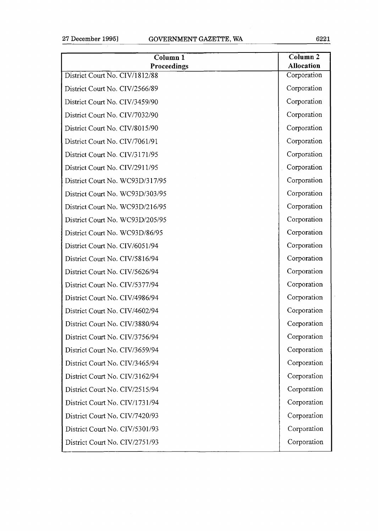| Column <sub>1</sub><br>Proceedings | Column <sub>2</sub><br><b>Allocation</b> |
|------------------------------------|------------------------------------------|
| District Court No. CIV/1812/88     | Corporation                              |
| District Court No. CIV/2566/89     | Corporation                              |
| District Court No. CIV/3459/90     | Corporation                              |
| District Court No. CIV/7032/90     | Corporation                              |
| District Court No. CIV/8015/90     | Corporation                              |
| District Court No. CIV/7061/91     | Corporation                              |
| District Court No. CIV/3171/95     | Corporation                              |
| District Court No. CIV/2911/95     | Corporation                              |
| District Court No. WC93D/317/95    | Corporation                              |
| District Court No. WC93D/303/95    | Corporation                              |
| District Court No. WC93D/216/95    | Corporation                              |
| District Court No. WC93D/205/95    | Corporation                              |
| District Court No. WC93D/86/95     | Corporation                              |
| District Court No. CIV/6051/94     | Corporation                              |
| District Court No. CIV/5816/94     | Corporation                              |
| District Court No. CIV/5626/94     | Corporation                              |
| District Court No. CIV/5377/94     | Corporation                              |
| District Court No. CIV/4986/94     | Corporation                              |
| District Court No. CIV/4602/94     | Corporation                              |
| District Court No. CIV/3880/94     | Corporation                              |
| District Court No. CIV/3756/94     | Corporation                              |
| District Court No. CIV/3659/94     | Corporation                              |
| District Court No. CIV/3465/94     | Corporation                              |
| District Court No. CIV/3162/94     | Corporation                              |
| District Court No. CIV/2515/94     | Corporation                              |
| District Court No. CIV/1731/94     | Corporation                              |
| District Court No. CIV/7420/93     | Corporation                              |
| District Court No. CIV/5301/93     | Corporation                              |
| District Court No. CIV/2751/93     | Corporation                              |